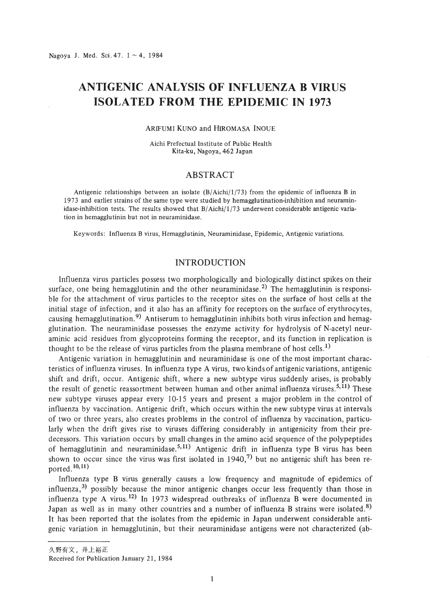# **ANTIGENIC ANALYSIS OF INFLUENZA B VIRUS ISOLATED FROM THE EPIDEMIC IN 1973**

#### ARIFUMI KUNO and HIROMASA INOUE

Aichi Prefectual Institute of Public Health Kita-ku, Nagoya, 462 Japan

# ABSTRACT

Antigenic relationships between an isolate (B/Aichi/I/73) from the epidemic of influenza B in 1973 and earlier strains of the same type were studied by hemagglutination-inhibition and neuraminidase-inhibition tests. The results showed that  $B/Aichi/1/73$  underwent considerable antigenic variation in hemagglutinin but not in neuraminidase.

Keywords: Influenza Bvirus, Hemagglutinin, Neuraminidase, Epidemic, Antigenic variations.

## INTRODUCTION

Influenza virus particles possess two morphologically and biologically distinct spikes on their surface, one being hemagglutinin and the other neuraminidase.<sup>2)</sup> The hemagglutinin is responsible for the attachment of virus particles to the receptor sites on the surface of host cells at the initial stage of infection, and it also has an affinity for receptors on the surface of erythrocytes, causing hemagglutination.<sup>9)</sup> Antiserum to hemagglutinin inhibits both virus infection and hemagglutination. The neuraminidase possesses the enzyme activity for hydrolysis of N-acetyl neuraminic acid residues from glycoproteins forming the receptor, and its function in replication is thought to be the release of virus particles from the plasma membrane of host cells.<sup>1)</sup>

Antigenic variation in hemagglutinin and neuraminidase is one of the most important characteristics of influenza viruses. In influenza type A virus, two kinds of antigenic variations, antigenic shift and drift, occur. Antigenic shift, where a new subtype virus suddenly arises, is probably the result of genetic reassortment between human and other animal influenza viruses.<sup>5,11)</sup> These new subtype viruses appear every 10-15 years and present a major problem in the control of influenza by vaccination. Antigenic drift, which occurs within the new subtype virus at intervals of two or three years, also creates problems in the control of influenza by vaccination, particularly when the drift gives rise to viruses differing considerably in antigenicity from their predecessors. This variation occurs by small changes in the amino acid sequence of the polypeptides of hemagglutinin and neuraminidase.<sup>5,11)</sup> Antigenic drift in influenza type B virus has been shown to occur since the virus was first isolated in 1940,<sup>7)</sup> but no antigenic shift has been reported. $10,11)$ 

Influenza type B virus generally causes a low frequency and magnitude of epidemics of influenza,<sup>3)</sup> possibly because the minor antigenic changes occur less frequently than those in influenza type A virus.<sup>12)</sup> In 1973 widespread outbreaks of influenza B were documented in Japan as well as in many other countries and a number of influenza B strains were isolated.<sup>8)</sup> It has been reported that the isolates from the epidemic in Japan underwent considerable antigenic variation in hemagglutinin, but their neuraminidase antigens were not characterized (ab-

久野有文,井上裕正

Received for Publication January 21,1984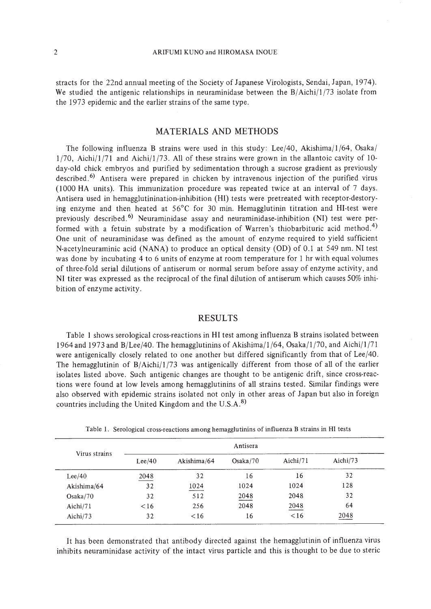stracts for the 22nd annual meeting of the Society of Japanese Virologists, Sendai, Japan, 1974). We studied the antigenic relationships in neuraminidase between the  $B/Aichi/1/73$  isolate from the 1973 epidemic and the earlier strains of the same type.

# MATERIALS AND METHODS

The following influenza B strains were used in this study: Lee/40, Akishima/1/64, Osaka/  $1/70$ , Aichi/ $1/71$  and Aichi/ $1/73$ . All of these strains were grown in the allantoic cavity of 10day-old chick embryos and purified by sedimentation through a sucrose gradient as previously described.<sup>6)</sup> Antisera were prepared in chicken by intravenous injection of the purified virus (1000 HA units). This immunization procedure was repeated twice at an interval of 7 days. Antisera used in hemagglutinination-inhibition (HI) tests were pretreated with receptor-destorying enzyme and then heated at 56°C for 30 min. Hemagglutinin titration and HI-test were previously described.<sup>6)</sup> Neuraminidase assay and neuraminidase-inhibition (NI) test were performed with a fetuin substrate by a modification of Warren's thiobarbituric acid method.<sup>4)</sup> One unit of neuraminidase was defined as the amount of enzyme required to yield sufficient N-acetylneuraminic acid (NANA) to produce an optical density (00) of 0.1 at 549 nm. NI test was done by incubating 4 to 6 units of enzyme at room temperature for I hr with equal volumes of three-fold serial dilutions of antiserum or normal serum before assay of enzyme activity, and NI titer was expressed as the reciprocal of the final dilution of antiserum which causes 50% inhibition of enzyme activity.

## RESULTS

Table I shows serological cross-reactions in **HI** test among influenza B strains isolated between 1964 and 1973 and B/Lee/40. The hemagglutinins of Akishima/l /64, Osaka/l /70, and Aichi/l /71 were antigenically closely related to one another but differed significantly from that of Lee/40. The hemagglutinin of B/Aichi/1/73 was antigenically different from those of all of the earlier isolates listed above. Such antigenic changes are thought to be antigenic drift, since cross-reactions were found at low levels among hemagglutinins of all strains tested. Similar findings were also observed with epidemic strains isolated not only in other areas of Japan but also in foreign countries including the United Kingdom and the U.S.A. $^{8)}$ 

| Virus strains | Antisera |             |          |          |             |  |
|---------------|----------|-------------|----------|----------|-------------|--|
|               | Lee/40   | Akishima/64 | Osaka/70 | Aichi/71 | Aichi $/73$ |  |
| Lee/40        | 2048     | 32          | 16       | 16       | 32          |  |
| Akishima/64   | 32       | 1024        | 1024     | 1024     | 128         |  |
| Osaka/70      | 32       | 512         | 2048     | 2048     | 32          |  |
| Aichi/71      | <16      | 256         | 2048     | 2048     | 64          |  |
| Aichi/73      | 32       | < 16        | 16       | < 16     | 2048        |  |

Table 1. Serological cross-reactions among hemagglutinins of influenza B strains in HI tests

It has been demonstrated that antibody directed against the hemagglutinin of influenza virus inhibits neuraminidase activity of the intact virus particle and this is thought to be due to steric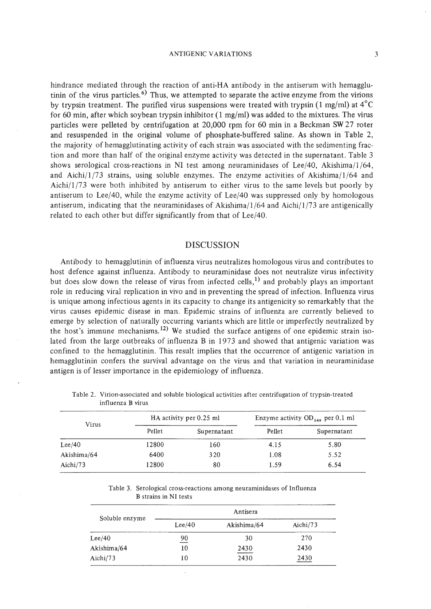#### ANTIGENIC VARIATIONS

hindrance mediated through the reaction of anti-HA antibody in the antiserum with hemagglutinin of the virus particles.<sup> $6)$ </sup> Thus, we attempted to separate the active enzyme from the virions by trypsin treatment. The purified virus suspensions were treated with trypsin  $(1 \text{ mg/ml})$  at  $4^{\circ}$ C for 60 min, after which soybean trypsin inhibitor (1 mg/ml) was added to the mixtures. The virus particles were pelleted by centrifugation at 20,000 rpm for 60 min in a Beckman SW 27 roter and resuspended in the original volume of phosphate-buffered saline. As shown in Table 2, the majority of hemagglutinating activity of each strain was associated with the sedimenting fraction and more than half of the original enzyme activity was detected in the supernatant. Table 3 shows serological cross-reactions in NI test among neuraminidases of Lee/40, Akishirna/l /64, and Aichi/ $1/73$  strains, using soluble enzymes. The enzyme activities of Akishima/ $1/64$  and Aichi/l /73 were both inhibited by antiserum to either virus to the same levels but poorly by antiserum to Lee/40, while the enzyme activity of Lee/40 was suppressed only by homologous antiserum, indicating that the neuraminidases of Akishima/ $1/64$  and Aichi/ $1/73$  are antigenically related to each other but differ significantly from that of Lee/40.

## DISCUSSION

Antibody to hemagglutinin of influenza virus neutralizes homologous virus and contributes to host defence against influenza. Antibody to neuraminidase does not neutralize virus infectivity but does slow down the release of virus from infected cells,<sup>1)</sup> and probably plays an important role in reducing viral replication in vivo and in preventing the spread of infection. Influenza virus is unique among infectious agents in its capacity to change its antigenicity so remarkably that the virus causes epidemic disease in man. Epidemic strains of influenza are currently believed to emerge by selection of naturally occurring variants which are little or imperfectly neutralized by the host's immune mechanisms.<sup>12)</sup> We studied the surface antigens of one epidemic strain isolated from the large outbreaks of influenza B in 1973 and showed that antigenic variation was confined to the hemagglutinin. This result implies that the occurrence of antigenic variation in hemagglutinin confers the survival advantage on the virus and that variation in neuraminidase antigen is of lesser importance in the epidemiology of influenza.

| Virus       |        | HA activity per 0.25 ml | Enzyme activity OD <sub>540</sub> per 0.1 ml |             |
|-------------|--------|-------------------------|----------------------------------------------|-------------|
|             | Pellet | Supernatant             | Pellet                                       | Supernatant |
| Lee/40      | 12800  | 160                     | 4.15                                         | 5.80        |
| Akishima/64 | 6400   | 320                     | 1.08                                         | 5.52        |
| Aichi/73    | 12800  | 80                      | 1.59                                         | 6.54        |

Table 2. Virion-associated and soluble biological activities after centrifugation of trypsin-treated influenza B virus

Table 3. Serological cross-reactions among neuraminidases of Influenza B strains in NI tests

|                | Antisera       |             |             |  |
|----------------|----------------|-------------|-------------|--|
| Soluble enzyme | Lee/40         | Akishima/64 | Aichi $/73$ |  |
| Lee/40         | $\frac{90}{2}$ | 30          | 270         |  |
| Akishima/64    | 10             | 2430        | 2430        |  |
| Aichi/73       | 10             | 2430        | 2430        |  |